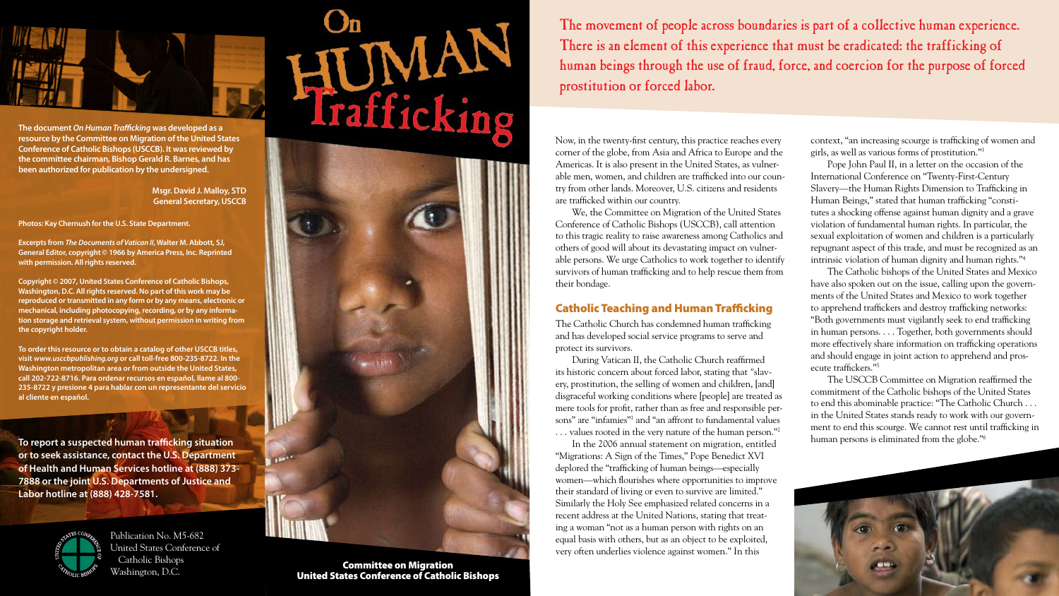Now, in the twenty-first century, this practice reaches every corner of the globe, from Asia and Africa to Europe and the Americas. It is also present in the United States, as vulnerable men, women, and children are trafficked into our country from other lands. Moreover, U.S. citizens and residents are trafficked within our country.

We, the Committee on Migration of the United States Conference of Catholic Bishops (USCCB), call attention to this tragic reality to raise awareness among Catholics and others of good will about its devastating impact on vulnerable persons. We urge Catholics to work together to identify survivors of human trafficking and to help rescue them from their bondage.

# Catholic Teaching and Human Trafficking

The Catholic Church has condemned human trafficking and has developed social service programs to serve and protect its survivors.

During Vatican II, the Catholic Church reaffirmed its historic concern about forced labor, stating that *"*slavery, prostitution, the selling of women and children, [and] disgraceful working conditions where [people] are treated as mere tools for profit, rather than as free and responsible persons" are "infamies"1 and "an affront to fundamental values . . . values rooted in the very nature of the human person."2

In the 2006 annual statement on migration, entitled "Migrations: A Sign of the Times," Pope Benedict XVI deplored the "trafficking of human beings—especially women—which flourishes where opportunities to improve their standard of living or even to survive are limited." Similarly the Holy See emphasized related concerns in a recent address at the United Nations, stating that treating a woman "not as a human person with rights on an equal basis with others, but as an object to be exploited, very often underlies violence against women." In this

The movement of people across boundaries is part of a collective human experience. There is an element of this experience that must be eradicated: the trafficking of human beings through the use of fraud, force, and coercion for the purpose of forced prostitution or forced labor.

context, "an increasing scourge is trafficking of women and



girls, as well as various forms of prostitution."3 Pope John Paul II, in a letter on the occasion of the The Catholic bishops of the United States and Mexico

International Conference on "Twenty-First-Century Slavery—the Human Rights Dimension to Trafficking in Human Beings," stated that human trafficking "constitutes a shocking offense against human dignity and a grave violation of fundamental human rights. In particular, the sexual exploitation of women and children is a particularly repugnant aspect of this trade, and must be recognized as an intrinsic violation of human dignity and human rights."4 have also spoken out on the issue, calling upon the governments of the United States and Mexico to work together to apprehend traffickers and destroy trafficking networks: "Both governments must vigilantly seek to end trafficking in human persons. . . . Together, both governments should more effectively share information on trafficking operations and should engage in joint action to apprehend and prosecute traffickers."5 The USCCB Committee on Migration reaffirmed the commitment of the Catholic bishops of the United States

to end this abominable practice: "The Catholic Church . . . in the United States stands ready to work with our government to end this scourge. We cannot rest until trafficking in human persons is eliminated from the globe."6

Committee on Migration United States Conference of Catholic Bishops



**The document** *On Human Trafficking* **was developed as a resource by the Committee on Migration of the United States Conference of Catholic Bishops (USCCB). It was reviewed by the committee chairman, Bishop Gerald R. Barnes, and has been authorized for publication by the undersigned.**

> **Msgr. David J. Malloy, STD General Secretary, USCCB**

**Photos: Kay Chernush for the U.S. State Department.**

**Excerpts from** *The Documents of Vatican II***, Walter M. Abbott, SJ, General Editor, copyright © 1966 by America Press, Inc. Reprinted with permission. All rights reserved.**

**Copyright © 2007, United States Conference of Catholic Bishops, Washington, D.C. All rights reserved. No part of this work may be reproduced or transmitted in any form or by any means, electronic or mechanical, including photocopying, recording, or by any information storage and retrieval system, without permission in writing from the copyright holder.**

**To order this resource or to obtain a catalog of other USCCB titles, visit** *www.usccbpublishing.org* **or call toll-free 800-235-8722. In the Washington metropolitan area or from outside the United States, call 202-722-8716. Para ordenar recursos en español, llame al 800- 235-8722 y presione 4 para hablar con un representante del servicio al cliente en español.**

**To report a suspected human trafficking situation or to seek assistance, contact the U.S. Department of Health and Human Services hotline at (888) 373- 7888 or the joint U.S. Departments of Justice and Labor hotline at (888) 428-7581.**



Publication No. M5-682 United States Conference of Catholic Bishops Washington, D.C.